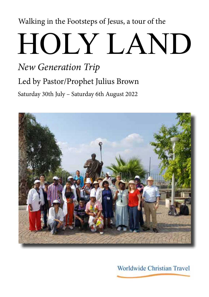# Walking in the Footsteps of Jesus, a tour of the

# HOLY LAND

# Saturday 30th July – Saturday 6th August 2022 Led by Pastor/Prophet Julius Brown *New Generation Trip*



Worldwide Christian Travel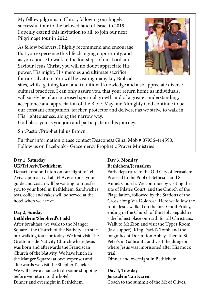My fellow pilgrims in Christ, following our hugely successful tour to the beloved land of Israel in 2019, I openly extend this invitation to all, to join our next Pilgrimage tour in 2022.

As fellow believers, I highly recommend and encourage that you experience this life changing opportunity, and as you choose to walk in the footsteps of our Lord and Saviour Jesus Christ, you will no doubt appreciate His power, His might, His mercies and ultimate sacrifice for our salvation! You will be visiting many key Biblical



sites, whilst gaining local and traditional knowledge and also appreciate diverse cultural practices. I can only assure you, that your return home as individuals, will surely be of an increased spiritual growth and of a greater understanding, acceptance and appreciation of the Bible. May our Almighty God continue to be our constant companion, teacher, protector and deliverer as we strive to walk in His righteousness, along the narrow way.

God bless you as you join and participate in this journey.

Snr.Pastor/Prophet Julius Brown.

Further information please contact Deaconess Gina: Mob # 07956-414590. Follow us on Facebook - Gracemercy Prophetic Prayer Ministries

# **Day 1, Saturday UK/Tel Aviv/Bethlehem**

Depart London Luton on our flight to Tel Aviv. Upon arrival at Tel Aviv airport your guide and coach will be waiting to transfer you to your hotel in Bethlehem. Sandwiches, teas, coffee and cakes will be served at the hotel when we arrive.

# **Day 2, Sunday Bethlehem/Shepherd's Field**

After breakfast, we walk to the Manger Square - the Church of the Nativity - to start our walking tour for today. We first visit The Grotto inside Nativity Church where Jesus was born and afterwards the Franciscan Church of the Nativity. We have lunch in the Manger Square (at own expense) and afterwards we visit the Shepherd's fields, We will have a chance to do some shopping before we return to the hotel. Dinner and overnight in Bethlehem.

# **Day 3, Monday Bethlehem/Jerusalem**

Early departure to the Old City of Jerusalem. Proceed to the Pool of Bethesda and St Anne's Church. We continue by visiting the site of Pilate's Court, and the Church of the Flagellation, followed by the Stations of the Cross along Via Dolorosa. Here we follow the route Jesus walked on the first Good Friday, ending in the Church of the Holy Sepulchre - the holiest place on earth for all Christians. Walk to Mt Zion and visit the Upper Room (last supper), King David's Tomb and the magnificent Dormition Abbey. Then to St Peter's in Gallicantu and visit the dungeon where Jesus was imprisoned after His mock trial.

Dinner and overnight in Bethlehem.

# **Day 4, Tuesday**

**Jerusalem/Ein Karem**

Coach to the summit of the Mt of Olives,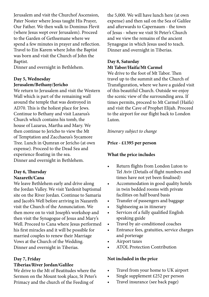Jerusalem and visit the Churchof Ascension, Pater Noster where Jesus taught His Prayer, Our Father. We then walk to Dominus Flevit (where Jesus wept over Jerusalem). Proceed to the Garden of Gethsemane where we spend a few minutes in prayer and reflection. Travel to Ein Karem where John the Baptist was born and visit the Church of John the Baptist.

Dinner and overnight in Bethlehem.

## **Day 5, Wednesday Jerusalem/Bethany/Jericho**

We return to Jerusalem and visit the Western Wall which is part of the remaining wall around the temple that was destroyed in AD70. This is the holiest place for Jews. Continue to Bethany and visit Lazarus's Church which contains his tomb, the house of Lazarus, Martha and Mary. We then continue to Jericho to view the Mt of Temptation and Zacchaeus's Sycamore Tree. Lunch in Qumran or Jericho (at own expense). Proceed to the Dead Sea and experience floating in the sea. Dinner and overnight in Bethlehem.

#### **Day 6, Thursday Nazareth/Cana**

We leave Bethlehem early and drive along the Jordan Valley. We visit Yardenit baptismal site on the River Jordan. Continue to Samaria and Jacob's Well before arriving in Nazareth visit the Church of the Annunciation. We then move on to visit Joseph's workshop and then visit the Synagogue of Jesus and Mary's Well. Proceed to Cana where Jesus performed his first miracles and it will be possible for married couples to renew their Marriage Vows at the Church of the Wedding. Dinner and overnight in Tiberias.

# **Day 7, Friday**

# **Tiberias/River Jordan/Galilee**

We drive to the Mt of Beatitudes where the Sermon on the Mount took place, St Peter's Primacy and the church of the Feeding of

the 5,000. We will have lunch here (at own expense) and then sail on the Sea of Galilee and afterwards to Capernaum - the town of Jesus - where we visit St Peter's Church and we view the remains of the ancient Synagogue in which Jesus used to teach. Dinner and overnight in Tiberias.

## **Day 8, Saturday Mt Tabor/Haifa/Mt Carmel**

We drive to the foot of Mt Tabor. Then travel up to the summit and the Church of Transfiguration, where we have a guided visit of this beautiful Church. Outside we enjoy the scenic view of the surrounding area. If times permits, proceed to Mt Carmel (Haifa) and visit the Cave of Prophet Elijah. Proceed to the airport for our flight back to London Luton.

# *Itinerary subject to change*

# **Price - £1395 per person**

# **What the price includes**

- Return flights from London Luton to Tel Aviv (Details of flight numbers and times have not yet been finalised)
- Accommodation in good quality hotels in twin bedded rooms with private facilities on half board basis
- Transfer of passengers and baggage
- Sightseeing as in itinerary
- Services of a fully qualified English speaking guide
- Travel by air-conditioned coaches
- Entrance fees, gratuities, service charges and porterage
- Airport taxes
- ATOL Protection Contribution

# **Not included in the price**

- Travel from your home to UK airport
- Single supplement £252 per person
- Travel insurance (see back page)